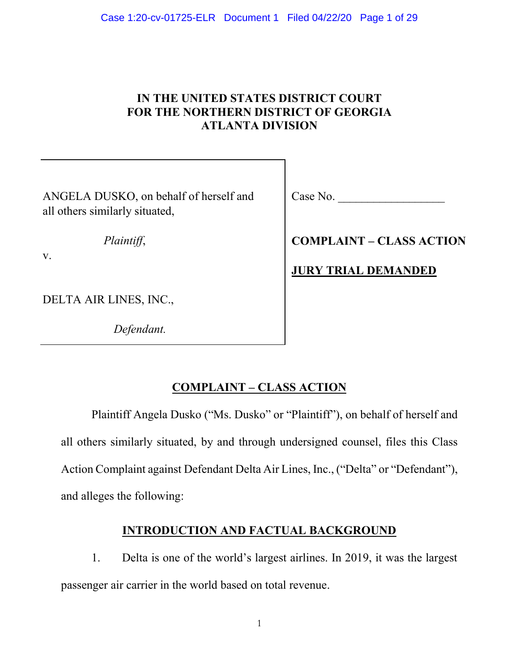## **IN THE UNITED STATES DISTRICT COURT FOR THE NORTHERN DISTRICT OF GEORGIA ATLANTA DIVISION**

ANGELA DUSKO, on behalf of herself and all others similarly situated,

*Plaintiff*,

v.

DELTA AIR LINES, INC.,

 *Defendant.* 

Case No.

**COMPLAINT – CLASS ACTION**

**JURY TRIAL DEMANDED**

# **COMPLAINT – CLASS ACTION**

Plaintiff Angela Dusko ("Ms. Dusko" or "Plaintiff"), on behalf of herself and all others similarly situated, by and through undersigned counsel, files this Class Action Complaint against Defendant Delta Air Lines, Inc., ("Delta" or "Defendant"), and alleges the following:

## **INTRODUCTION AND FACTUAL BACKGROUND**

1. Delta is one of the world's largest airlines. In 2019, it was the largest passenger air carrier in the world based on total revenue.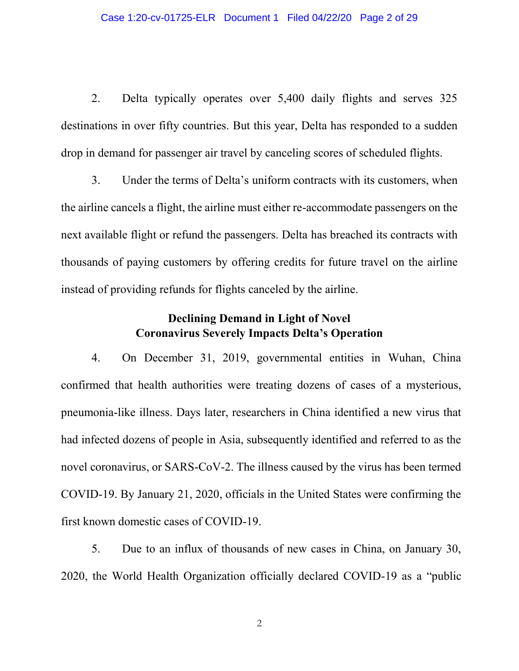2. Delta typically operates over 5,400 daily flights and serves 325 destinations in over fifty countries. But this year, Delta has responded to a sudden drop in demand for passenger air travel by canceling scores of scheduled flights.

3. Under the terms of Delta's uniform contracts with its customers, when the airline cancels a flight, the airline must either re-accommodate passengers on the next available flight or refund the passengers. Delta has breached its contracts with thousands of paying customers by offering credits for future travel on the airline instead of providing refunds for flights canceled by the airline.

## **Declining Demand in Light of Novel Coronavirus Severely Impacts Delta's Operation**

4. On December 31, 2019, governmental entities in Wuhan, China confirmed that health authorities were treating dozens of cases of a mysterious, pneumonia-like illness. Days later, researchers in China identified a new virus that had infected dozens of people in Asia, subsequently identified and referred to as the novel coronavirus, or SARS-CoV-2. The illness caused by the virus has been termed COVID-19. By January 21, 2020, officials in the United States were confirming the first known domestic cases of COVID-19.

5. Due to an influx of thousands of new cases in China, on January 30, 2020, the World Health Organization officially declared COVID-19 as a "public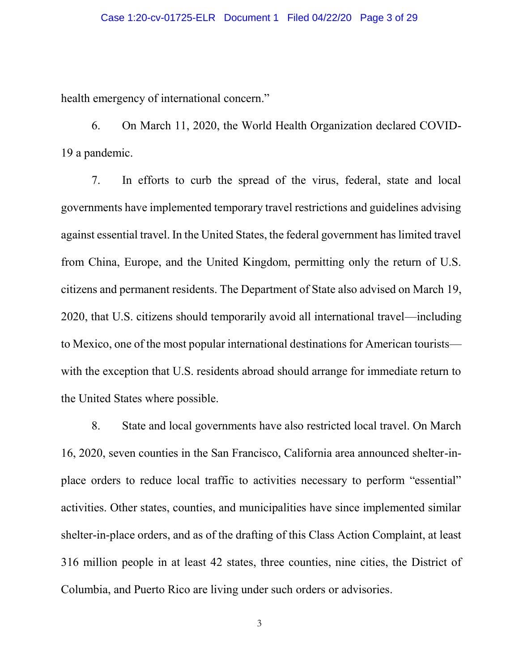health emergency of international concern."

6. On March 11, 2020, the World Health Organization declared COVID-19 a pandemic.

7. In efforts to curb the spread of the virus, federal, state and local governments have implemented temporary travel restrictions and guidelines advising against essential travel. In the United States, the federal government has limited travel from China, Europe, and the United Kingdom, permitting only the return of U.S. citizens and permanent residents. The Department of State also advised on March 19, 2020, that U.S. citizens should temporarily avoid all international travel—including to Mexico, one of the most popular international destinations for American tourists with the exception that U.S. residents abroad should arrange for immediate return to the United States where possible.

8. State and local governments have also restricted local travel. On March 16, 2020, seven counties in the San Francisco, California area announced shelter-inplace orders to reduce local traffic to activities necessary to perform "essential" activities. Other states, counties, and municipalities have since implemented similar shelter-in-place orders, and as of the drafting of this Class Action Complaint, at least 316 million people in at least 42 states, three counties, nine cities, the District of Columbia, and Puerto Rico are living under such orders or advisories.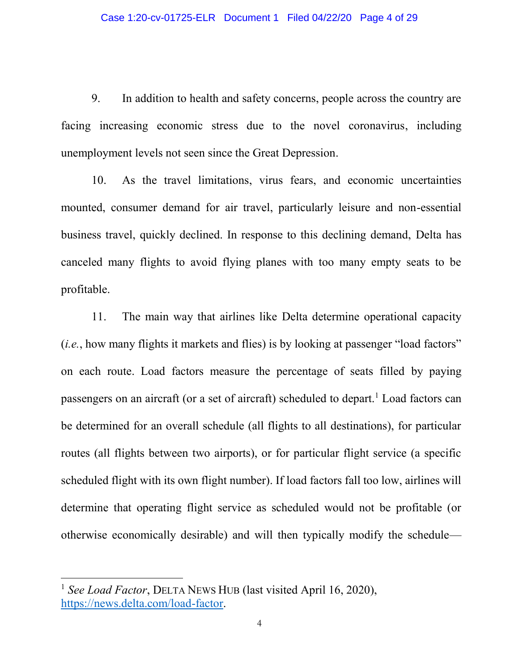9. In addition to health and safety concerns, people across the country are facing increasing economic stress due to the novel coronavirus, including unemployment levels not seen since the Great Depression.

10. As the travel limitations, virus fears, and economic uncertainties mounted, consumer demand for air travel, particularly leisure and non-essential business travel, quickly declined. In response to this declining demand, Delta has canceled many flights to avoid flying planes with too many empty seats to be profitable.

11. The main way that airlines like Delta determine operational capacity (*i.e.*, how many flights it markets and flies) is by looking at passenger "load factors" on each route. Load factors measure the percentage of seats filled by paying passengers on an aircraft (or a set of aircraft) scheduled to depart.<sup>1</sup> Load factors can be determined for an overall schedule (all flights to all destinations), for particular routes (all flights between two airports), or for particular flight service (a specific scheduled flight with its own flight number). If load factors fall too low, airlines will determine that operating flight service as scheduled would not be profitable (or otherwise economically desirable) and will then typically modify the schedule—

<sup>1</sup> *See Load Factor*, DELTA NEWS HUB (last visited April 16, 2020), [https://news.delta.com/load-factor.](https://news.delta.com/load-factor)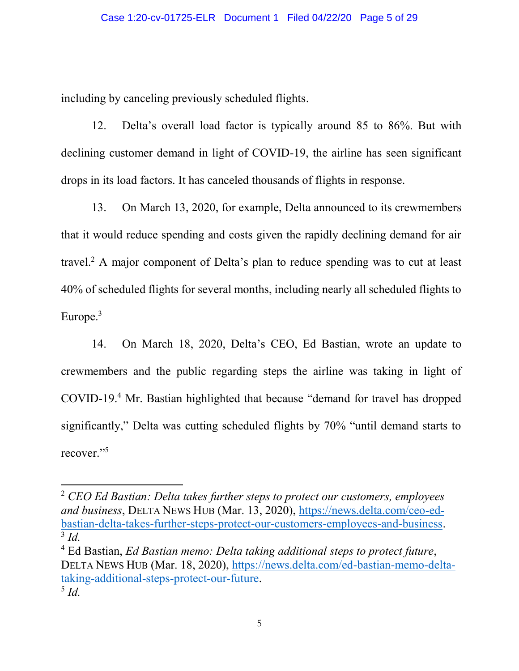including by canceling previously scheduled flights.

12. Delta's overall load factor is typically around 85 to 86%. But with declining customer demand in light of COVID-19, the airline has seen significant drops in its load factors. It has canceled thousands of flights in response.

13. On March 13, 2020, for example, Delta announced to its crewmembers that it would reduce spending and costs given the rapidly declining demand for air travel.2 A major component of Delta's plan to reduce spending was to cut at least 40% of scheduled flights for several months, including nearly all scheduled flights to Europe.<sup>3</sup>

14. On March 18, 2020, Delta's CEO, Ed Bastian, wrote an update to crewmembers and the public regarding steps the airline was taking in light of COVID-19.4 Mr. Bastian highlighted that because "demand for travel has dropped significantly," Delta was cutting scheduled flights by 70% "until demand starts to recover."<sup>5</sup>

 $\overline{a}$ 

<sup>2</sup> *CEO Ed Bastian: Delta takes further steps to protect our customers, employees and business*, DELTA NEWS HUB (Mar. 13, 2020), [https://news.delta.com/ceo-ed](https://news.delta.com/ceo-ed-bastian-delta-takes-further-steps-protect-our-customers-employees-and-business)[bastian-delta-takes-further-steps-protect-our-customers-employees-and-business.](https://news.delta.com/ceo-ed-bastian-delta-takes-further-steps-protect-our-customers-employees-and-business) 3 *Id.*

<sup>4</sup> Ed Bastian, *Ed Bastian memo: Delta taking additional steps to protect future*, DELTA NEWS HUB (Mar. 18, 2020), [https://news.delta.com/ed-bastian-memo-delta](https://news.delta.com/ed-bastian-memo-delta-taking-additional-steps-protect-our-future)[taking-additional-steps-protect-our-future.](https://news.delta.com/ed-bastian-memo-delta-taking-additional-steps-protect-our-future) <sup>5</sup> *Id.*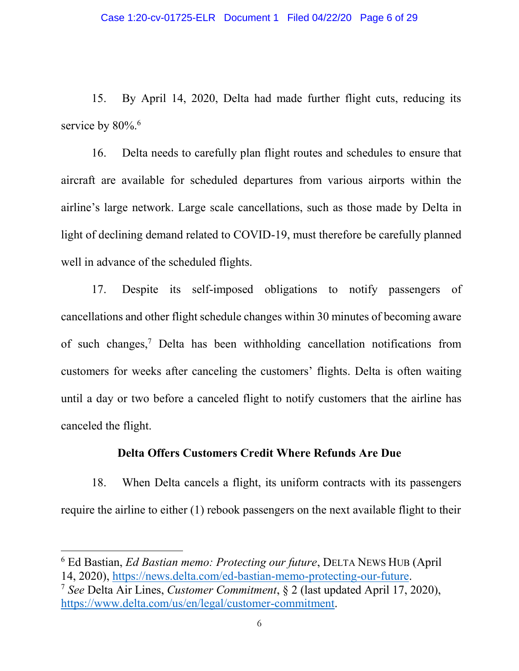15. By April 14, 2020, Delta had made further flight cuts, reducing its service by 80%.<sup>6</sup>

16. Delta needs to carefully plan flight routes and schedules to ensure that aircraft are available for scheduled departures from various airports within the airline's large network. Large scale cancellations, such as those made by Delta in light of declining demand related to COVID-19, must therefore be carefully planned well in advance of the scheduled flights.

17. Despite its self-imposed obligations to notify passengers of cancellations and other flight schedule changes within 30 minutes of becoming aware of such changes,7 Delta has been withholding cancellation notifications from customers for weeks after canceling the customers' flights. Delta is often waiting until a day or two before a canceled flight to notify customers that the airline has canceled the flight.

#### **Delta Offers Customers Credit Where Refunds Are Due**

18. When Delta cancels a flight, its uniform contracts with its passengers require the airline to either (1) rebook passengers on the next available flight to their

<sup>6</sup> Ed Bastian, *Ed Bastian memo: Protecting our future*, DELTA NEWS HUB (April

<sup>14, 2020),</sup> [https://news.delta.com/ed-bastian-memo-protecting-our-future.](https://news.delta.com/ed-bastian-memo-protecting-our-future) 7 *See* Delta Air Lines, *Customer Commitment*, § 2 (last updated April 17, 2020), [https://www.delta.com/us/en/legal/customer-commitment.](https://www.delta.com/us/en/legal/customer-commitment)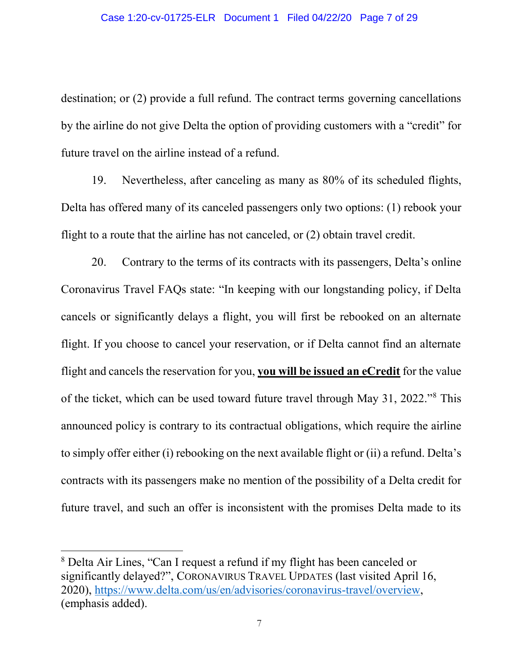destination; or (2) provide a full refund. The contract terms governing cancellations by the airline do not give Delta the option of providing customers with a "credit" for future travel on the airline instead of a refund.

19. Nevertheless, after canceling as many as 80% of its scheduled flights, Delta has offered many of its canceled passengers only two options: (1) rebook your flight to a route that the airline has not canceled, or (2) obtain travel credit.

20. Contrary to the terms of its contracts with its passengers, Delta's online Coronavirus Travel FAQs state: "In keeping with our longstanding policy, if Delta cancels or significantly delays a flight, you will first be rebooked on an alternate flight. If you choose to cancel your reservation, or if Delta cannot find an alternate flight and cancels the reservation for you, **you will be issued an eCredit** for the value of the ticket, which can be used toward future travel through May 31, 2022."<sup>8</sup> This announced policy is contrary to its contractual obligations, which require the airline to simply offer either (i) rebooking on the next available flight or (ii) a refund. Delta's contracts with its passengers make no mention of the possibility of a Delta credit for future travel, and such an offer is inconsistent with the promises Delta made to its

<sup>8</sup> Delta Air Lines, "Can I request a refund if my flight has been canceled or significantly delayed?", CORONAVIRUS TRAVEL UPDATES (last visited April 16, 2020), [https://www.delta.com/us/en/advisories/coronavirus-travel/overview,](https://www.delta.com/us/en/advisories/coronavirus-travel/overview) (emphasis added).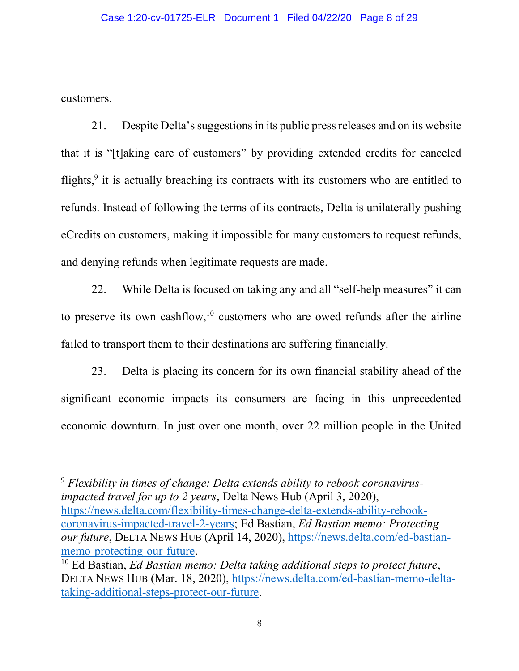customers.

 $\overline{a}$ 

21. Despite Delta's suggestionsin its public press releases and on its website that it is "[t]aking care of customers" by providing extended credits for canceled flights,<sup>9</sup> it is actually breaching its contracts with its customers who are entitled to refunds. Instead of following the terms of its contracts, Delta is unilaterally pushing eCredits on customers, making it impossible for many customers to request refunds, and denying refunds when legitimate requests are made.

22. While Delta is focused on taking any and all "self-help measures" it can to preserve its own cashflow, $10$  customers who are owed refunds after the airline failed to transport them to their destinations are suffering financially.

23. Delta is placing its concern for its own financial stability ahead of the significant economic impacts its consumers are facing in this unprecedented economic downturn. In just over one month, over 22 million people in the United

<sup>9</sup> *Flexibility in times of change: Delta extends ability to rebook coronavirusimpacted travel for up to 2 years*, Delta News Hub (April 3, 2020), [https://news.delta.com/flexibility-times-change-delta-extends-ability-rebook](https://news.delta.com/flexibility-times-change-delta-extends-ability-rebook-coronavirus-impacted-travel-2-years)[coronavirus-impacted-travel-2-years;](https://news.delta.com/flexibility-times-change-delta-extends-ability-rebook-coronavirus-impacted-travel-2-years) Ed Bastian, *Ed Bastian memo: Protecting our future*, DELTA NEWS HUB (April 14, 2020), [https://news.delta.com/ed-bastian](https://news.delta.com/ed-bastian-memo-protecting-our-future)[memo-protecting-our-future.](https://news.delta.com/ed-bastian-memo-protecting-our-future)

<sup>10</sup> Ed Bastian, *Ed Bastian memo: Delta taking additional steps to protect future*, DELTA NEWS HUB (Mar. 18, 2020), [https://news.delta.com/ed-bastian-memo-delta](https://news.delta.com/ed-bastian-memo-delta-taking-additional-steps-protect-our-future)[taking-additional-steps-protect-our-future.](https://news.delta.com/ed-bastian-memo-delta-taking-additional-steps-protect-our-future)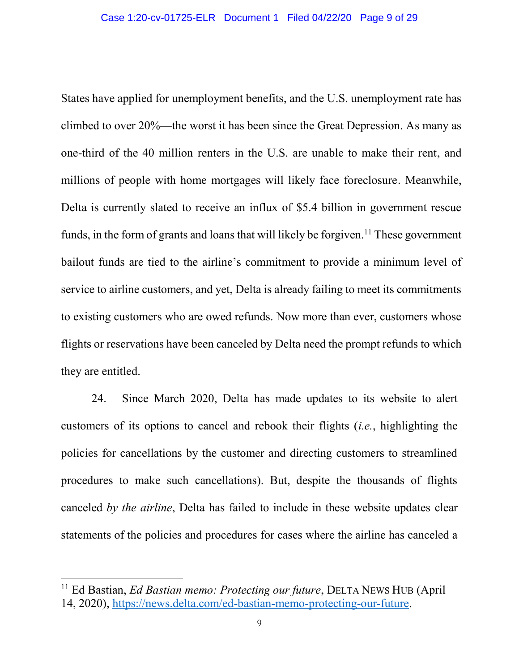States have applied for unemployment benefits, and the U.S. unemployment rate has climbed to over 20%—the worst it has been since the Great Depression. As many as one-third of the 40 million renters in the U.S. are unable to make their rent, and millions of people with home mortgages will likely face foreclosure. Meanwhile, Delta is currently slated to receive an influx of \$5.4 billion in government rescue funds, in the form of grants and loans that will likely be forgiven.<sup>11</sup> These government bailout funds are tied to the airline's commitment to provide a minimum level of service to airline customers, and yet, Delta is already failing to meet its commitments to existing customers who are owed refunds. Now more than ever, customers whose flights or reservations have been canceled by Delta need the prompt refunds to which they are entitled.

24. Since March 2020, Delta has made updates to its website to alert customers of its options to cancel and rebook their flights (*i.e.*, highlighting the policies for cancellations by the customer and directing customers to streamlined procedures to make such cancellations). But, despite the thousands of flights canceled *by the airline*, Delta has failed to include in these website updates clear statements of the policies and procedures for cases where the airline has canceled a

<sup>11</sup> Ed Bastian, *Ed Bastian memo: Protecting our future*, DELTA NEWS HUB (April 14, 2020), [https://news.delta.com/ed-bastian-memo-protecting-our-future.](https://news.delta.com/ed-bastian-memo-protecting-our-future)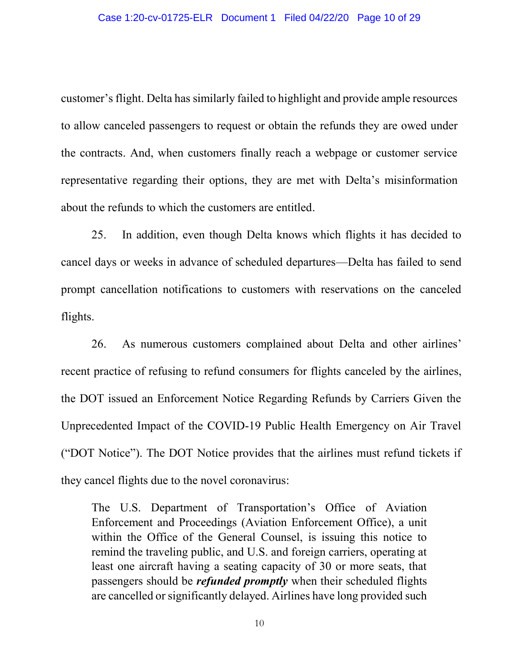customer's flight. Delta has similarly failed to highlight and provide ample resources to allow canceled passengers to request or obtain the refunds they are owed under the contracts. And, when customers finally reach a webpage or customer service representative regarding their options, they are met with Delta's misinformation about the refunds to which the customers are entitled.

25. In addition, even though Delta knows which flights it has decided to cancel days or weeks in advance of scheduled departures—Delta has failed to send prompt cancellation notifications to customers with reservations on the canceled flights.

26. As numerous customers complained about Delta and other airlines' recent practice of refusing to refund consumers for flights canceled by the airlines, the DOT issued an Enforcement Notice Regarding Refunds by Carriers Given the Unprecedented Impact of the COVID-19 Public Health Emergency on Air Travel ("DOT Notice"). The DOT Notice provides that the airlines must refund tickets if they cancel flights due to the novel coronavirus:

The U.S. Department of Transportation's Office of Aviation Enforcement and Proceedings (Aviation Enforcement Office), a unit within the Office of the General Counsel, is issuing this notice to remind the traveling public, and U.S. and foreign carriers, operating at least one aircraft having a seating capacity of 30 or more seats, that passengers should be *refunded promptly* when their scheduled flights are cancelled or significantly delayed. Airlines have long provided such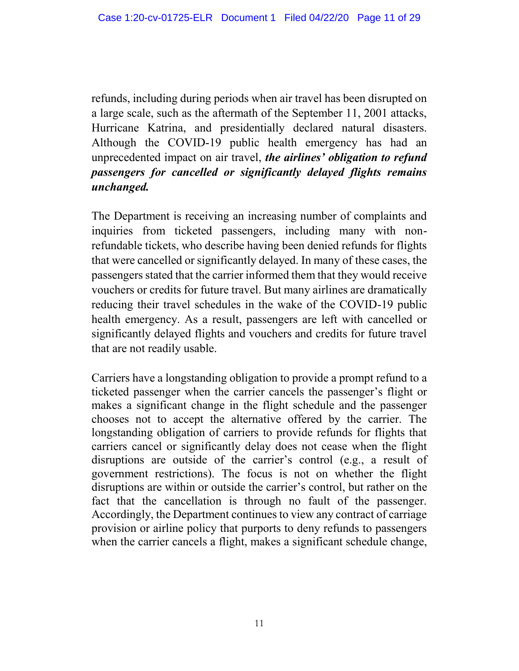refunds, including during periods when air travel has been disrupted on a large scale, such as the aftermath of the September 11, 2001 attacks, Hurricane Katrina, and presidentially declared natural disasters. Although the COVID-19 public health emergency has had an unprecedented impact on air travel, *the airlines' obligation to refund passengers for cancelled or significantly delayed flights remains unchanged.*

The Department is receiving an increasing number of complaints and inquiries from ticketed passengers, including many with nonrefundable tickets, who describe having been denied refunds for flights that were cancelled or significantly delayed. In many of these cases, the passengers stated that the carrier informed them that they would receive vouchers or credits for future travel. But many airlines are dramatically reducing their travel schedules in the wake of the COVID-19 public health emergency. As a result, passengers are left with cancelled or significantly delayed flights and vouchers and credits for future travel that are not readily usable.

Carriers have a longstanding obligation to provide a prompt refund to a ticketed passenger when the carrier cancels the passenger's flight or makes a significant change in the flight schedule and the passenger chooses not to accept the alternative offered by the carrier. The longstanding obligation of carriers to provide refunds for flights that carriers cancel or significantly delay does not cease when the flight disruptions are outside of the carrier's control (e.g., a result of government restrictions). The focus is not on whether the flight disruptions are within or outside the carrier's control, but rather on the fact that the cancellation is through no fault of the passenger. Accordingly, the Department continues to view any contract of carriage provision or airline policy that purports to deny refunds to passengers when the carrier cancels a flight, makes a significant schedule change,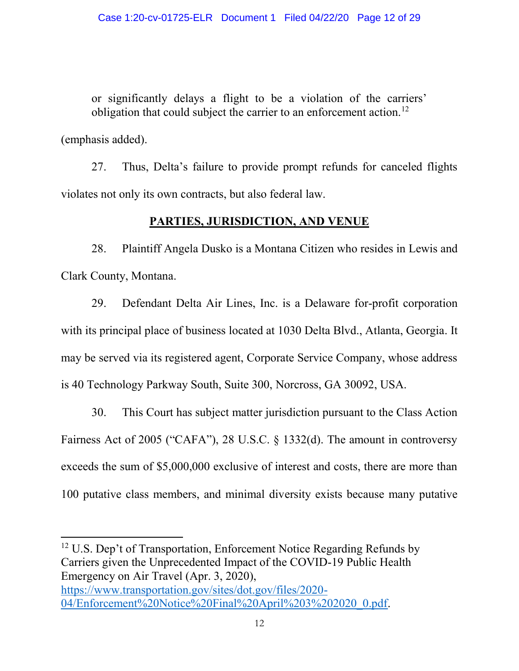or significantly delays a flight to be a violation of the carriers' obligation that could subject the carrier to an enforcement action.<sup>12</sup>

(emphasis added).

 $\overline{\phantom{a}}$ 

27. Thus, Delta's failure to provide prompt refunds for canceled flights violates not only its own contracts, but also federal law.

## **PARTIES, JURISDICTION, AND VENUE**

28. Plaintiff Angela Dusko is a Montana Citizen who resides in Lewis and Clark County, Montana.

29. Defendant Delta Air Lines, Inc. is a Delaware for-profit corporation with its principal place of business located at 1030 Delta Blvd., Atlanta, Georgia. It may be served via its registered agent, Corporate Service Company, whose address is 40 Technology Parkway South, Suite 300, Norcross, GA 30092, USA.

30. This Court has subject matter jurisdiction pursuant to the Class Action Fairness Act of 2005 ("CAFA"), 28 U.S.C. § 1332(d). The amount in controversy exceeds the sum of \$5,000,000 exclusive of interest and costs, there are more than 100 putative class members, and minimal diversity exists because many putative

<sup>12</sup> U.S. Dep't of Transportation, Enforcement Notice Regarding Refunds by Carriers given the Unprecedented Impact of the COVID-19 Public Health Emergency on Air Travel (Apr. 3, 2020), [https://www.transportation.gov/sites/dot.gov/files/2020-](https://www.transportation.gov/sites/dot.gov/files/2020-04/Enforcement%20Notice%20Final%20April%203%202020_0.pdf) [04/Enforcement%20Notice%20Final%20April%203%202020\\_0.pdf.](https://www.transportation.gov/sites/dot.gov/files/2020-04/Enforcement%20Notice%20Final%20April%203%202020_0.pdf)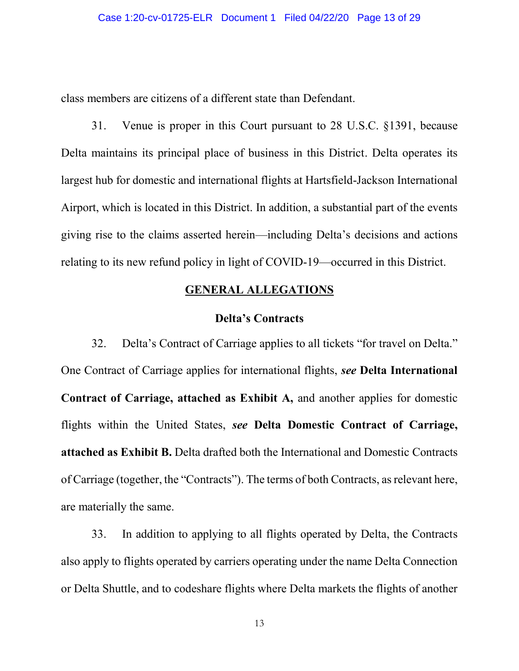class members are citizens of a different state than Defendant.

31. Venue is proper in this Court pursuant to 28 U.S.C. §1391, because Delta maintains its principal place of business in this District. Delta operates its largest hub for domestic and international flights at Hartsfield-Jackson International Airport, which is located in this District. In addition, a substantial part of the events giving rise to the claims asserted herein—including Delta's decisions and actions relating to its new refund policy in light of COVID-19—occurred in this District.

#### **GENERAL ALLEGATIONS**

#### **Delta's Contracts**

32. Delta's Contract of Carriage applies to all tickets "for travel on Delta." One Contract of Carriage applies for international flights, *see* **Delta International Contract of Carriage, attached as Exhibit A,** and another applies for domestic flights within the United States, *see* **Delta Domestic Contract of Carriage, attached as Exhibit B.** Delta drafted both the International and Domestic Contracts of Carriage (together, the "Contracts"). The terms of both Contracts, as relevant here, are materially the same.

33. In addition to applying to all flights operated by Delta, the Contracts also apply to flights operated by carriers operating under the name Delta Connection or Delta Shuttle, and to codeshare flights where Delta markets the flights of another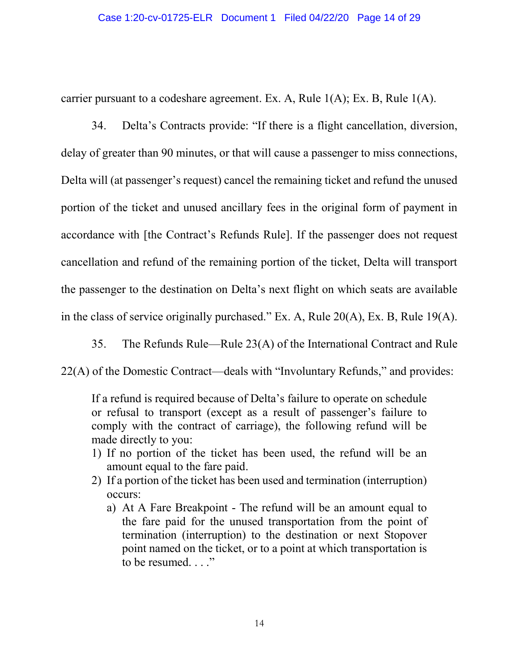carrier pursuant to a codeshare agreement. Ex. A, Rule 1(A); Ex. B, Rule 1(A).

34. Delta's Contracts provide: "If there is a flight cancellation, diversion, delay of greater than 90 minutes, or that will cause a passenger to miss connections, Delta will (at passenger's request) cancel the remaining ticket and refund the unused portion of the ticket and unused ancillary fees in the original form of payment in accordance with [the Contract's Refunds Rule]. If the passenger does not request cancellation and refund of the remaining portion of the ticket, Delta will transport the passenger to the destination on Delta's next flight on which seats are available in the class of service originally purchased." Ex. A, Rule 20(A), Ex. B, Rule 19(A).

35. The Refunds Rule—Rule 23(A) of the International Contract and Rule

22(A) of the Domestic Contract—deals with "Involuntary Refunds," and provides:

If a refund is required because of Delta's failure to operate on schedule or refusal to transport (except as a result of passenger's failure to comply with the contract of carriage), the following refund will be made directly to you:

- 1) If no portion of the ticket has been used, the refund will be an amount equal to the fare paid.
- 2) If a portion of the ticket has been used and termination (interruption) occurs:
	- a) At A Fare Breakpoint The refund will be an amount equal to the fare paid for the unused transportation from the point of termination (interruption) to the destination or next Stopover point named on the ticket, or to a point at which transportation is to be resumed. . . ."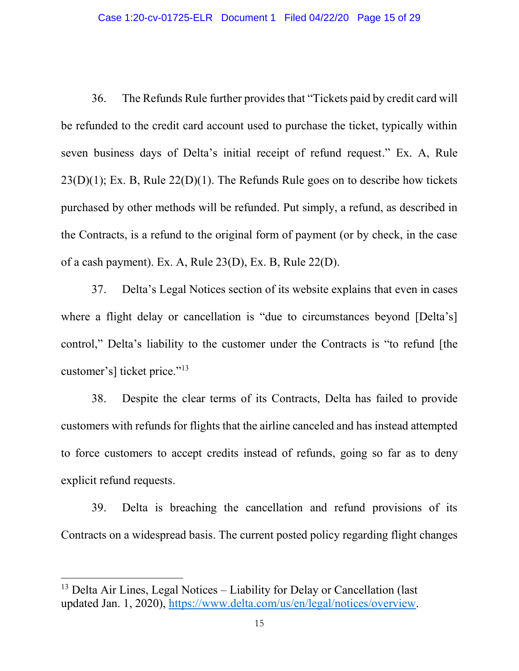36. The Refunds Rule further provides that "Tickets paid by credit card will be refunded to the credit card account used to purchase the ticket, typically within seven business days of Delta's initial receipt of refund request." Ex. A, Rule  $23(D)(1)$ ; Ex. B, Rule  $22(D)(1)$ . The Refunds Rule goes on to describe how tickets purchased by other methods will be refunded. Put simply, a refund, as described in the Contracts, is a refund to the original form of payment (or by check, in the case of a cash payment). Ex. A, Rule 23(D), Ex. B, Rule 22(D).

37. Delta's Legal Notices section of its website explains that even in cases where a flight delay or cancellation is "due to circumstances beyond [Delta's] control," Delta's liability to the customer under the Contracts is "to refund [the customer's] ticket price."<sup>13</sup>

38. Despite the clear terms of its Contracts, Delta has failed to provide customers with refunds for flights that the airline canceled and has instead attempted to force customers to accept credits instead of refunds, going so far as to deny explicit refund requests.

39. Delta is breaching the cancellation and refund provisions of its Contracts on a widespread basis. The current posted policy regarding flight changes

 $13$  Delta Air Lines, Legal Notices – Liability for Delay or Cancellation (last updated Jan. 1, 2020), [https://www.delta.com/us/en/legal/notices/overview.](https://www.delta.com/us/en/legal/notices/overview)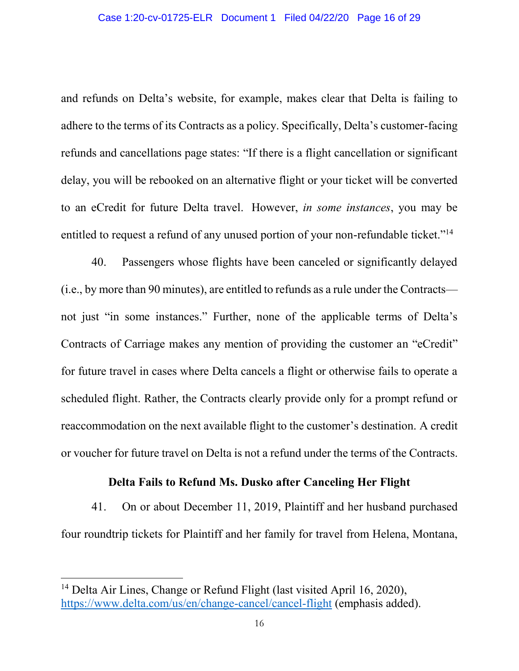and refunds on Delta's website, for example, makes clear that Delta is failing to adhere to the terms of its Contracts as a policy. Specifically, Delta's customer-facing refunds and cancellations page states: "If there is a flight cancellation or significant delay, you will be rebooked on an alternative flight or your ticket will be converted to an eCredit for future Delta travel. However, *in some instances*, you may be entitled to request a refund of any unused portion of your non-refundable ticket."<sup>14</sup>

40. Passengers whose flights have been canceled or significantly delayed (i.e., by more than 90 minutes), are entitled to refunds as a rule under the Contracts not just "in some instances." Further, none of the applicable terms of Delta's Contracts of Carriage makes any mention of providing the customer an "eCredit" for future travel in cases where Delta cancels a flight or otherwise fails to operate a scheduled flight. Rather, the Contracts clearly provide only for a prompt refund or reaccommodation on the next available flight to the customer's destination. A credit or voucher for future travel on Delta is not a refund under the terms of the Contracts.

#### **Delta Fails to Refund Ms. Dusko after Canceling Her Flight**

41. On or about December 11, 2019, Plaintiff and her husband purchased four roundtrip tickets for Plaintiff and her family for travel from Helena, Montana,

<sup>&</sup>lt;sup>14</sup> Delta Air Lines, Change or Refund Flight (last visited April 16, 2020), <https://www.delta.com/us/en/change-cancel/cancel-flight> (emphasis added).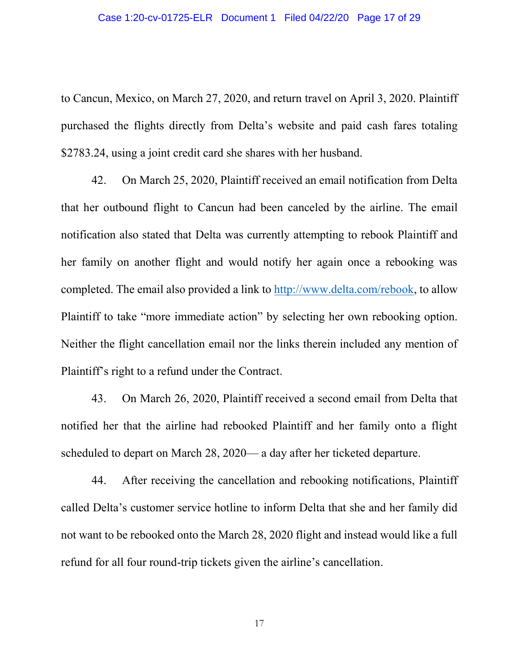to Cancun, Mexico, on March 27, 2020, and return travel on April 3, 2020. Plaintiff purchased the flights directly from Delta's website and paid cash fares totaling \$2783.24, using a joint credit card she shares with her husband.

42. On March 25, 2020, Plaintiff received an email notification from Delta that her outbound flight to Cancun had been canceled by the airline. The email notification also stated that Delta was currently attempting to rebook Plaintiff and her family on another flight and would notify her again once a rebooking was completed. The email also provided a link to [http://www.delta.com/rebook,](http://www.delta.com/rebook) to allow Plaintiff to take "more immediate action" by selecting her own rebooking option. Neither the flight cancellation email nor the links therein included any mention of Plaintiff's right to a refund under the Contract.

43. On March 26, 2020, Plaintiff received a second email from Delta that notified her that the airline had rebooked Plaintiff and her family onto a flight scheduled to depart on March 28, 2020— a day after her ticketed departure.

44. After receiving the cancellation and rebooking notifications, Plaintiff called Delta's customer service hotline to inform Delta that she and her family did not want to be rebooked onto the March 28, 2020 flight and instead would like a full refund for all four round-trip tickets given the airline's cancellation.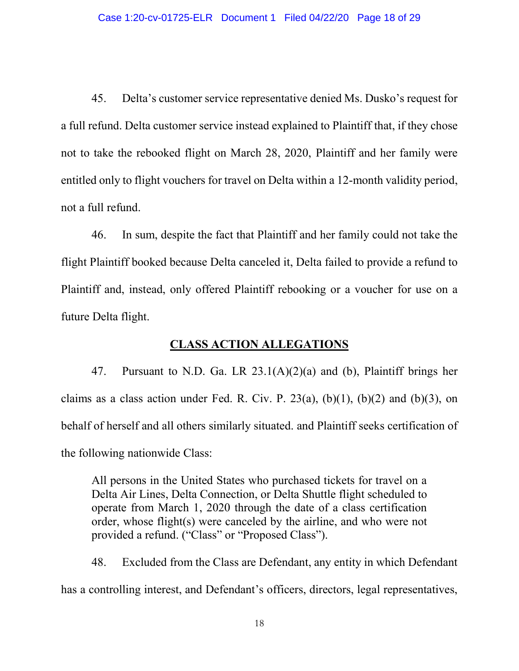45. Delta's customer service representative denied Ms. Dusko's request for a full refund. Delta customer service instead explained to Plaintiff that, if they chose not to take the rebooked flight on March 28, 2020, Plaintiff and her family were entitled only to flight vouchers for travel on Delta within a 12-month validity period, not a full refund.

46. In sum, despite the fact that Plaintiff and her family could not take the flight Plaintiff booked because Delta canceled it, Delta failed to provide a refund to Plaintiff and, instead, only offered Plaintiff rebooking or a voucher for use on a future Delta flight.

## **CLASS ACTION ALLEGATIONS**

47. Pursuant to N.D. Ga. LR 23.1(A)(2)(a) and (b), Plaintiff brings her claims as a class action under Fed. R. Civ. P. 23(a),  $(b)(1)$ ,  $(b)(2)$  and  $(b)(3)$ , on behalf of herself and all others similarly situated. and Plaintiff seeks certification of the following nationwide Class:

All persons in the United States who purchased tickets for travel on a Delta Air Lines, Delta Connection, or Delta Shuttle flight scheduled to operate from March 1, 2020 through the date of a class certification order, whose flight(s) were canceled by the airline, and who were not provided a refund. ("Class" or "Proposed Class").

48. Excluded from the Class are Defendant, any entity in which Defendant has a controlling interest, and Defendant's officers, directors, legal representatives,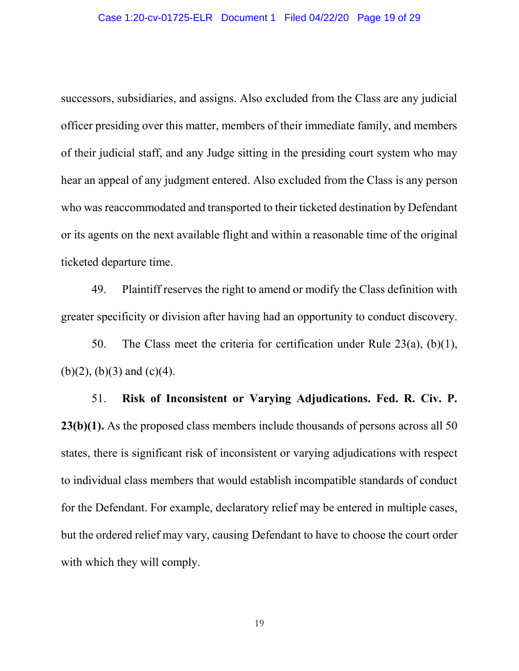successors, subsidiaries, and assigns. Also excluded from the Class are any judicial officer presiding over this matter, members of their immediate family, and members of their judicial staff, and any Judge sitting in the presiding court system who may hear an appeal of any judgment entered. Also excluded from the Class is any person who was reaccommodated and transported to their ticketed destination by Defendant or its agents on the next available flight and within a reasonable time of the original ticketed departure time.

49. Plaintiff reserves the right to amend or modify the Class definition with greater specificity or division after having had an opportunity to conduct discovery.

50. The Class meet the criteria for certification under Rule 23(a), (b)(1),  $(b)(2)$ ,  $(b)(3)$  and  $(c)(4)$ .

51. **Risk of Inconsistent or Varying Adjudications. Fed. R. Civ. P. 23(b)(1).** As the proposed class members include thousands of persons across all 50 states, there is significant risk of inconsistent or varying adjudications with respect to individual class members that would establish incompatible standards of conduct for the Defendant. For example, declaratory relief may be entered in multiple cases, but the ordered relief may vary, causing Defendant to have to choose the court order with which they will comply.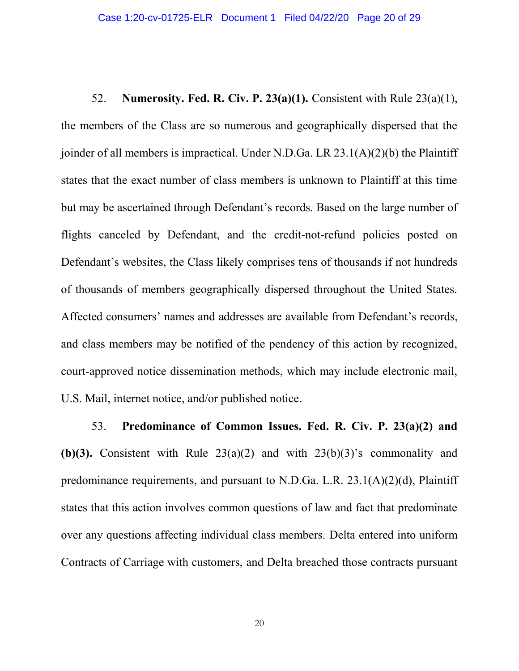52. **Numerosity. Fed. R. Civ. P. 23(a)(1).** Consistent with Rule 23(a)(1), the members of the Class are so numerous and geographically dispersed that the joinder of all members is impractical. Under N.D.Ga. LR 23.1(A)(2)(b) the Plaintiff states that the exact number of class members is unknown to Plaintiff at this time but may be ascertained through Defendant's records. Based on the large number of flights canceled by Defendant, and the credit-not-refund policies posted on Defendant's websites, the Class likely comprises tens of thousands if not hundreds of thousands of members geographically dispersed throughout the United States. Affected consumers' names and addresses are available from Defendant's records, and class members may be notified of the pendency of this action by recognized, court-approved notice dissemination methods, which may include electronic mail, U.S. Mail, internet notice, and/or published notice.

53. **Predominance of Common Issues. Fed. R. Civ. P. 23(a)(2) and (b)(3).** Consistent with Rule  $23(a)(2)$  and with  $23(b)(3)$ 's commonality and predominance requirements, and pursuant to N.D.Ga. L.R. 23.1(A)(2)(d), Plaintiff states that this action involves common questions of law and fact that predominate over any questions affecting individual class members. Delta entered into uniform Contracts of Carriage with customers, and Delta breached those contracts pursuant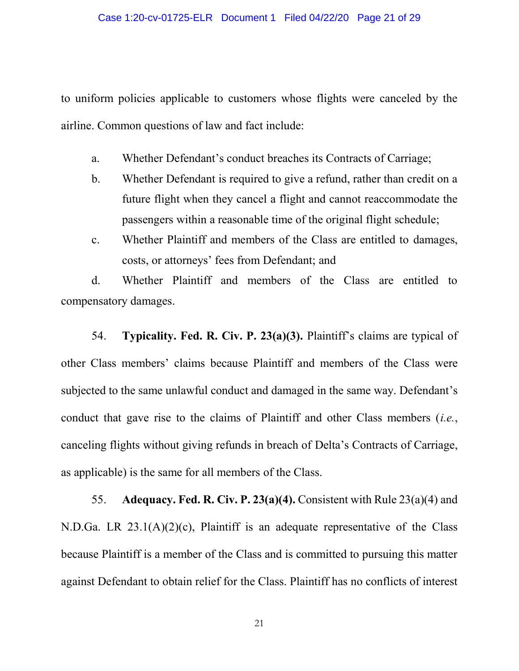to uniform policies applicable to customers whose flights were canceled by the airline. Common questions of law and fact include:

- a. Whether Defendant's conduct breaches its Contracts of Carriage;
- b. Whether Defendant is required to give a refund, rather than credit on a future flight when they cancel a flight and cannot reaccommodate the passengers within a reasonable time of the original flight schedule;
- c. Whether Plaintiff and members of the Class are entitled to damages, costs, or attorneys' fees from Defendant; and

d. Whether Plaintiff and members of the Class are entitled to compensatory damages.

54. **Typicality. Fed. R. Civ. P. 23(a)(3).** Plaintiff's claims are typical of other Class members' claims because Plaintiff and members of the Class were subjected to the same unlawful conduct and damaged in the same way. Defendant's conduct that gave rise to the claims of Plaintiff and other Class members (*i.e.*, canceling flights without giving refunds in breach of Delta's Contracts of Carriage, as applicable) is the same for all members of the Class.

55. **Adequacy. Fed. R. Civ. P. 23(a)(4).** Consistent with Rule 23(a)(4) and N.D.Ga. LR 23.1(A)(2)(c), Plaintiff is an adequate representative of the Class because Plaintiff is a member of the Class and is committed to pursuing this matter against Defendant to obtain relief for the Class. Plaintiff has no conflicts of interest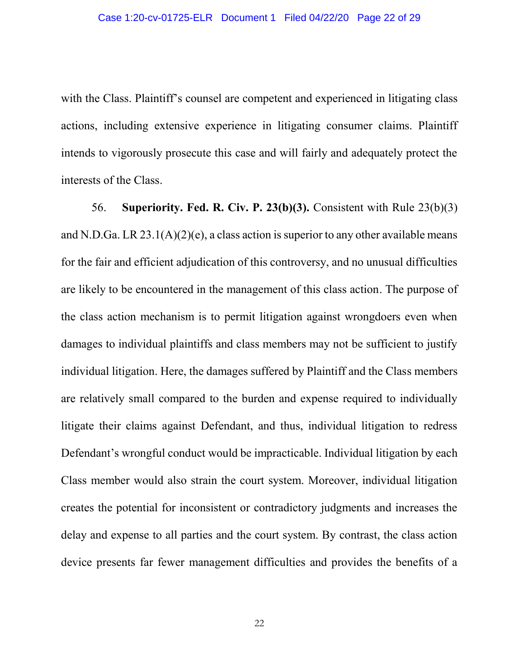with the Class. Plaintiff's counsel are competent and experienced in litigating class actions, including extensive experience in litigating consumer claims. Plaintiff intends to vigorously prosecute this case and will fairly and adequately protect the interests of the Class.

56. **Superiority. Fed. R. Civ. P. 23(b)(3).** Consistent with Rule 23(b)(3) and N.D.Ga. LR  $23.1(A)(2)(e)$ , a class action is superior to any other available means for the fair and efficient adjudication of this controversy, and no unusual difficulties are likely to be encountered in the management of this class action. The purpose of the class action mechanism is to permit litigation against wrongdoers even when damages to individual plaintiffs and class members may not be sufficient to justify individual litigation. Here, the damages suffered by Plaintiff and the Class members are relatively small compared to the burden and expense required to individually litigate their claims against Defendant, and thus, individual litigation to redress Defendant's wrongful conduct would be impracticable. Individual litigation by each Class member would also strain the court system. Moreover, individual litigation creates the potential for inconsistent or contradictory judgments and increases the delay and expense to all parties and the court system. By contrast, the class action device presents far fewer management difficulties and provides the benefits of a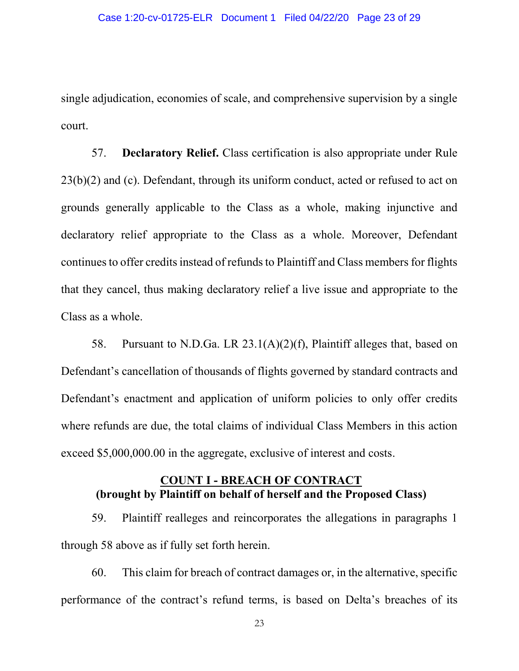single adjudication, economies of scale, and comprehensive supervision by a single court.

57. **Declaratory Relief.** Class certification is also appropriate under Rule 23(b)(2) and (c). Defendant, through its uniform conduct, acted or refused to act on grounds generally applicable to the Class as a whole, making injunctive and declaratory relief appropriate to the Class as a whole. Moreover, Defendant continuesto offer credits instead of refunds to Plaintiff and Class members for flights that they cancel, thus making declaratory relief a live issue and appropriate to the Class as a whole.

58. Pursuant to N.D.Ga. LR 23.1(A)(2)(f), Plaintiff alleges that, based on Defendant's cancellation of thousands of flights governed by standard contracts and Defendant's enactment and application of uniform policies to only offer credits where refunds are due, the total claims of individual Class Members in this action exceed \$5,000,000.00 in the aggregate, exclusive of interest and costs.

## **COUNT I - BREACH OF CONTRACT (brought by Plaintiff on behalf of herself and the Proposed Class)**

59. Plaintiff realleges and reincorporates the allegations in paragraphs 1 through 58 above as if fully set forth herein.

60. This claim for breach of contract damages or, in the alternative, specific performance of the contract's refund terms, is based on Delta's breaches of its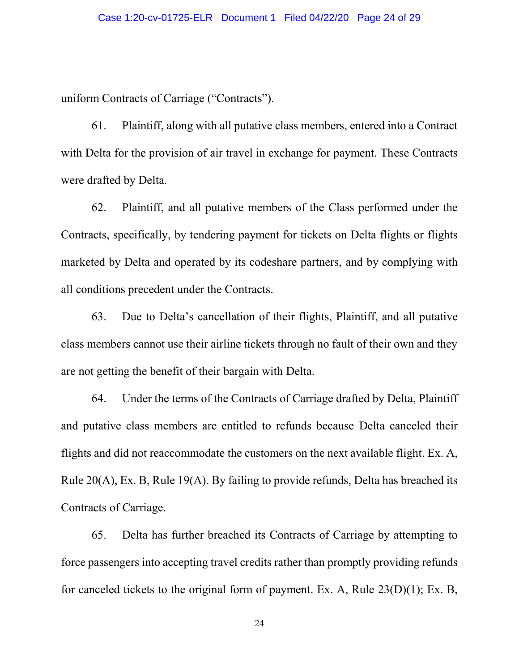uniform Contracts of Carriage ("Contracts").

61. Plaintiff, along with all putative class members, entered into a Contract with Delta for the provision of air travel in exchange for payment. These Contracts were drafted by Delta.

62. Plaintiff, and all putative members of the Class performed under the Contracts, specifically, by tendering payment for tickets on Delta flights or flights marketed by Delta and operated by its codeshare partners, and by complying with all conditions precedent under the Contracts.

63. Due to Delta's cancellation of their flights, Plaintiff, and all putative class members cannot use their airline tickets through no fault of their own and they are not getting the benefit of their bargain with Delta.

64. Under the terms of the Contracts of Carriage drafted by Delta, Plaintiff and putative class members are entitled to refunds because Delta canceled their flights and did not reaccommodate the customers on the next available flight. Ex. A, Rule 20(A), Ex. B, Rule 19(A). By failing to provide refunds, Delta has breached its Contracts of Carriage.

65. Delta has further breached its Contracts of Carriage by attempting to force passengers into accepting travel credits rather than promptly providing refunds for canceled tickets to the original form of payment. Ex. A, Rule 23(D)(1); Ex. B,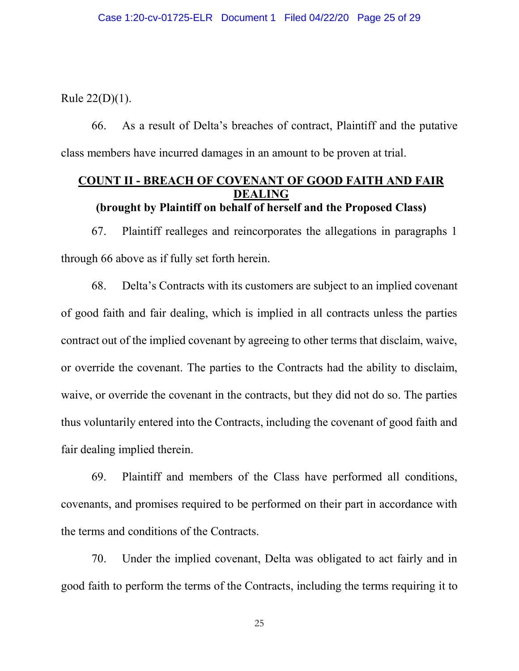Rule 22(D)(1).

66. As a result of Delta's breaches of contract, Plaintiff and the putative class members have incurred damages in an amount to be proven at trial.

### **COUNT II - BREACH OF COVENANT OF GOOD FAITH AND FAIR DEALING (brought by Plaintiff on behalf of herself and the Proposed Class)**

67. Plaintiff realleges and reincorporates the allegations in paragraphs 1 through 66 above as if fully set forth herein.

68. Delta's Contracts with its customers are subject to an implied covenant of good faith and fair dealing, which is implied in all contracts unless the parties contract out of the implied covenant by agreeing to other terms that disclaim, waive, or override the covenant. The parties to the Contracts had the ability to disclaim, waive, or override the covenant in the contracts, but they did not do so. The parties thus voluntarily entered into the Contracts, including the covenant of good faith and fair dealing implied therein.

69. Plaintiff and members of the Class have performed all conditions, covenants, and promises required to be performed on their part in accordance with the terms and conditions of the Contracts.

70. Under the implied covenant, Delta was obligated to act fairly and in good faith to perform the terms of the Contracts, including the terms requiring it to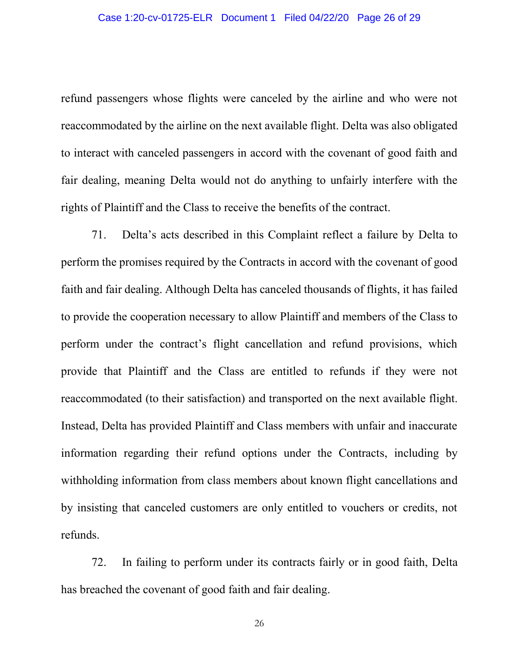refund passengers whose flights were canceled by the airline and who were not reaccommodated by the airline on the next available flight. Delta was also obligated to interact with canceled passengers in accord with the covenant of good faith and fair dealing, meaning Delta would not do anything to unfairly interfere with the rights of Plaintiff and the Class to receive the benefits of the contract.

71. Delta's acts described in this Complaint reflect a failure by Delta to perform the promises required by the Contracts in accord with the covenant of good faith and fair dealing. Although Delta has canceled thousands of flights, it has failed to provide the cooperation necessary to allow Plaintiff and members of the Class to perform under the contract's flight cancellation and refund provisions, which provide that Plaintiff and the Class are entitled to refunds if they were not reaccommodated (to their satisfaction) and transported on the next available flight. Instead, Delta has provided Plaintiff and Class members with unfair and inaccurate information regarding their refund options under the Contracts, including by withholding information from class members about known flight cancellations and by insisting that canceled customers are only entitled to vouchers or credits, not refunds.

72. In failing to perform under its contracts fairly or in good faith, Delta has breached the covenant of good faith and fair dealing.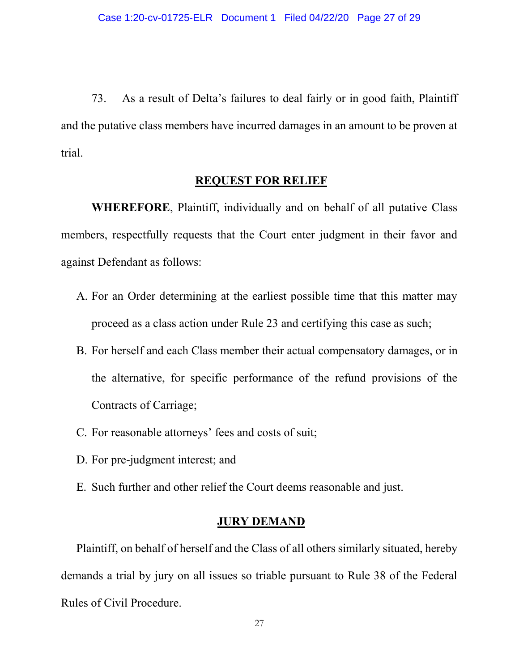73. As a result of Delta's failures to deal fairly or in good faith, Plaintiff and the putative class members have incurred damages in an amount to be proven at trial.

### **REQUEST FOR RELIEF**

**WHEREFORE**, Plaintiff, individually and on behalf of all putative Class members, respectfully requests that the Court enter judgment in their favor and against Defendant as follows:

- A. For an Order determining at the earliest possible time that this matter may proceed as a class action under Rule 23 and certifying this case as such;
- B. For herself and each Class member their actual compensatory damages, or in the alternative, for specific performance of the refund provisions of the Contracts of Carriage;
- C. For reasonable attorneys' fees and costs of suit;
- D. For pre-judgment interest; and
- E. Such further and other relief the Court deems reasonable and just.

## **JURY DEMAND**

Plaintiff, on behalf of herself and the Class of all others similarly situated, hereby demands a trial by jury on all issues so triable pursuant to Rule 38 of the Federal Rules of Civil Procedure.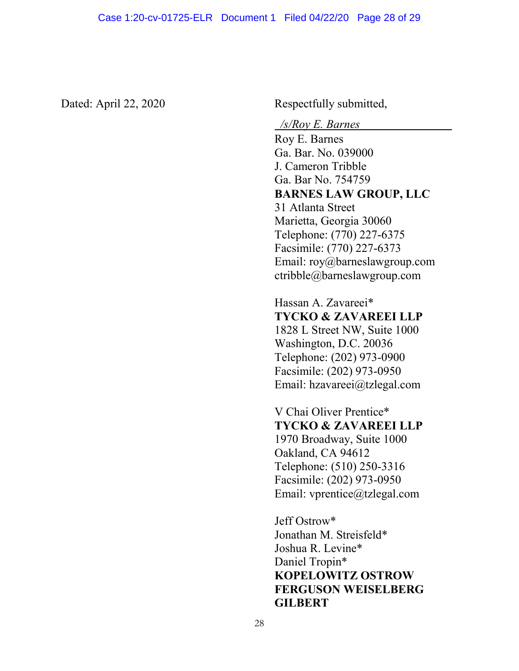Dated: April 22, 2020 Respectfully submitted,

*/s/Roy E. Barnes* 

Roy E. Barnes Ga. Bar. No. 039000 J. Cameron Tribble Ga. Bar No. 754759 **BARNES LAW GROUP, LLC** 31 Atlanta Street Marietta, Georgia 30060 Telephone: (770) 227-6375 Facsimile: (770) 227-6373 Email: roy@barneslawgroup.com ctribble@barneslawgroup.com

Hassan A. Zavareei\* **TYCKO & ZAVAREEI LLP**

1828 L Street NW, Suite 1000 Washington, D.C. 20036 Telephone: (202) 973-0900 Facsimile: (202) 973-0950 Email: hzavareei@tzlegal.com

V Chai Oliver Prentice\* **TYCKO & ZAVAREEI LLP** 1970 Broadway, Suite 1000 Oakland, CA 94612 Telephone: (510) 250-3316 Facsimile: (202) 973-0950 Email: vprentice@tzlegal.com

Jeff Ostrow\* Jonathan M. Streisfeld\* Joshua R. Levine\* Daniel Tropin\* **KOPELOWITZ OSTROW FERGUSON WEISELBERG GILBERT**